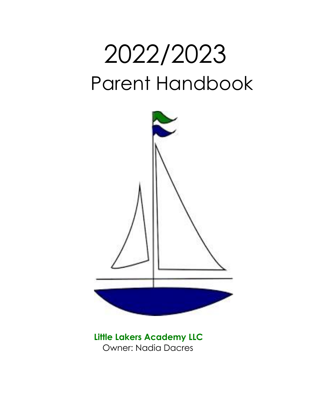# 2022/2023 Parent Handbook



**Little Lakers Academy LLC** Owner: Nadia Dacres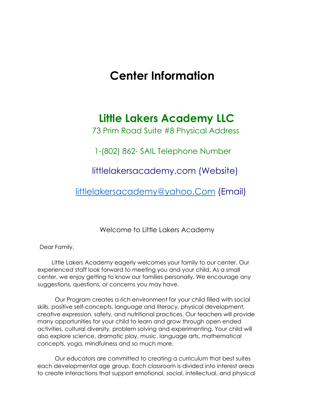## **Center Information**

## **Little Lakers Academy LLC**

73 Prim Road Suite #8 Physical Address

1-(802) 862- SAIL Telephone Number

littlelakersacademy.com (Website)

[littlelakersacademy@yahoo.Com](mailto:littlelakersacademy@yahoo.Com) (Email)

Welcome to Little Lakers Academy

Dear Family,

 Little Lakers Academy eagerly welcomes your family to our center. Our experienced staff look forward to meeting you and your child. As a small center, we enjoy getting to know our families personally. We encourage any suggestions, questions, or concerns you may have.

Our Program creates a rich environment for your child filled with social skills, positive self-concepts, language and literacy, physical development, creative expression, safety, and nutritional practices. Our teachers will provide many opportunities for your child to learn and grow through open ended activities, cultural diversity, problem solving and experimenting. Your child will also explore science, dramatic play, music, language arts, mathematical concepts, yoga, mindfulness and so much more.

Our educators are committed to creating a curriculum that best suites each developmental age group. Each classroom is divided into interest areas to create interactions that support emotional, social, intellectual, and physical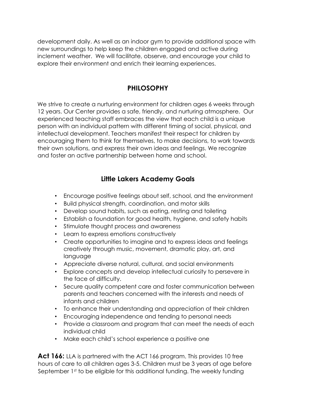development daily. As well as an indoor gym to provide additional space with new surroundings to help keep the children engaged and active during inclement weather. We will facilitate, observe, and encourage your child to explore their environment and enrich their learning experiences.

## **PHILOSOPHY**

We strive to create a nurturing environment for children ages 6 weeks through 12 years. Our Center provides a safe, friendly, and nurturing atmosphere. Our experienced teaching staff embraces the view that each child is a unique person with an individual pattern with different timing of social, physical, and intellectual development. Teachers manifest their respect for children by encouraging them to think for themselves, to make decisions, to work towards their own solutions, and express their own ideas and feelings. We recognize and foster an active partnership between home and school.

## **Little Lakers Academy Goals**

- Encourage positive feelings about self, school, and the environment
- Build physical strength, coordination, and motor skills
- Develop sound habits, such as eating, resting and toileting
- Establish a foundation for good health, hygiene, and safety habits
- Stimulate thought process and awareness
- Learn to express emotions constructively
- Create opportunities to imagine and to express ideas and feelings creatively through music, movement, dramatic play, art, and language
- Appreciate diverse natural, cultural, and social environments
- Explore concepts and develop intellectual curiosity to persevere in the face of difficulty.
- Secure quality competent care and foster communication between parents and teachers concerned with the interests and needs of infants and children
- To enhance their understanding and appreciation of their children
- Encouraging independence and tending to personal needs
- Provide a classroom and program that can meet the needs of each individual child
- Make each child's school experience a positive one

**Act 166:** LLA is partnered with the ACT 166 program. This provides 10 free hours of care to all children ages 3-5. Children must be 3 years of age before September 1st to be eligible for this additional funding. The weekly funding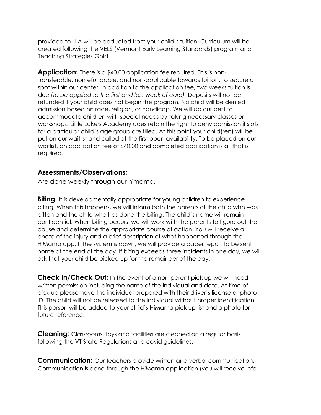provided to LLA will be deducted from your child's tuition. Curriculum will be created following the VELS (Vermont Early Learning Standards) program and Teaching Strategies Gold.

**Application:** There is a \$40.00 application fee required. This is nontransferable, nonrefundable, and non-applicable towards tuition. To secure a spot within our center, in addition to the application fee, two weeks tuition is due (*to be applied to the first and last week of care).* Deposits will not be refunded if your child does not begin the program. No child will be denied admission based on race, religion, or handicap. We will do our best to accommodate children with special needs by taking necessary classes or workshops. Little Lakers Academy does retain the right to deny admission if slots for a particular child's age group are filled. At this point your child(ren) will be put on our waitlist and called at the first open availability. To be placed on our waitlist, an application fee of \$40.00 and completed application is all that is required.

#### **Assessments/Observations:**

Are done weekly through our himama.

**Biting**: It is developmentally appropriate for young children to experience biting. When this happens, we will inform both the parents of the child who was bitten and the child who has done the biting. The child's name will remain confidential. When biting occurs, we will work with the parents to figure out the cause and determine the appropriate course of action. You will receive a photo of the injury and a brief description of what happened through the HiMama app. If the system is down, we will provide a paper report to be sent home at the end of the day. If biting exceeds three incidents in one day, we will ask that your child be picked up for the remainder of the day.

**Check In/Check Out:** In the event of a non-parent pick up we will need written permission including the name of the individual and date. At time of pick up please have the individual prepared with their driver's license or photo ID. The child will not be released to the individual without proper identification. This person will be added to your child's HiMama pick up list and a photo for future reference.

**Cleaning**: Classrooms, toys and facilities are cleaned on a regular basis following the VT State Regulations and covid guidelines.

**Communication:** Our teachers provide written and verbal communication. Communication is done through the HiMama application (you will receive info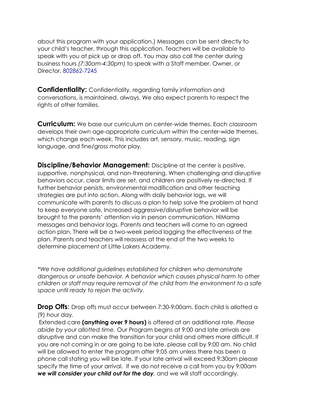about this program with your application.) Messages can be sent directly to your child's teacher, through this application. Teachers will be available to speak with you at pick up or drop off. You may also call the center during business hours *(7:30am-4:30pm)* to speak with a Staff member, Owner, or Director. 802862-7245

**Confidentiality:** Confidentiality, regarding family information and conversations, is maintained, always. We also expect parents to respect the rights of other families.

**Curriculum:** We base our curriculum on center-wide themes. Each classroom develops their own age-appropriate curriculum within the center-wide themes, which change each week. This includes art, sensory, music, reading, sign language, and fine/gross motor play.

**Discipline/Behavior Management:** Discipline at the center is positive, supportive, nonphysical, and non-threatening. When challenging and disruptive behaviors occur, clear limits are set, and children are positively re-directed. If further behavior persists, environmental modification and other teaching strategies are put into action. Along with daily behavior logs, we will communicate with parents to discuss a plan to help solve the problem at hand to keep everyone safe. Increased aggressive/disruptive behavior will be brought to the parents' attention via in person communication, HiMama messages and behavior logs. Parents and teachers will come to an agreed action plan. There will be a two-week period logging the effectiveness of the plan. Parents and teachers will reassess at the end of the two weeks to determine placement at Little Lakers Academy.

*\*We have additional guidelines established for children who demonstrate dangerous or unsafe behavior. A behavior which causes physical harm to other children or staff may require removal of the child from the environment to a safe space until ready to rejoin the activity.* 

**Drop Offs**: Drop offs must occur between 7:30-9:00am. Each child is allotted a (9) hour day*.* 

Extended care **(anything over 9 hours)** is offered at an additional rate. *Please abide by your allotted time.* Our Program begins at 9:00 and late arrivals are disruptive and can make the transition for your child and others more difficult. If you are not coming in or are going to be late, please call by 9:00 am. No child will be allowed to enter the program after 9:05 am unless there has been a phone call stating you will be late. If your late arrival will exceed 9:30am please specify the time of your arrival. If we do not receive a call from you by 9:00am *we will consider your child out for the day,* and we will staff accordingly.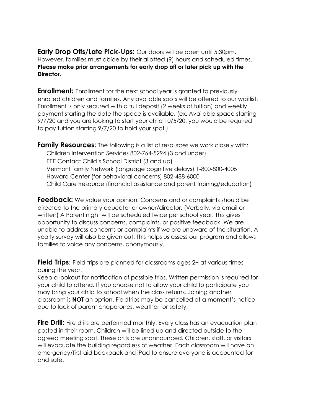**Early Drop Offs/Late Pick-Ups:** Our doors will be open until 5:30pm. However, families must abide by their allotted (9) hours and scheduled times. **Please make prior arrangements for early drop off or later pick up with the Director.** 

**Enrollment:** Enrollment for the next school year is granted to previously enrolled children and families. Any available spots will be offered to our waitlist. Enrollment is only secured with a full deposit (2 weeks of tuition) and weekly payment starting the date the space is available. (ex. Available space starting 9/7/20 and you are looking to start your child 10/5/20, you would be required to pay tuition starting 9/7/20 to hold your spot.)

**Family Resources:** The following is a list of resources we work closely with: Children Intervention Services 802-764-5294 (3 and under) EEE Contact Child's School District (3 and up) Vermont family Network (language cognitive delays) 1-800-800-4005 Howard Center (for behavioral concerns) 802-488-6000 Child Care Resource (financial assistance and parent training/education)

**Feedback:** We value your opinion. Concerns and or complaints should be directed to the primary educator or owner/director. (Verbally, via email or written) A Parent night will be scheduled twice per school year. This gives opportunity to discuss concerns, complaints, or positive feedback. We are unable to address concerns or complaints if we are unaware of the situation. A yearly survey will also be given out. This helps us assess our program and allows families to voice any concerns, anonymously.

**Field Trips**: Field trips are planned for classrooms ages 2+ at various times during the year.

Keep a lookout for notification of possible trips. Written permission is required for your child to attend. If you choose not to allow your child to participate you may bring your child to school when the class returns. Joining another classroom is **NOT** an option. Fieldtrips may be cancelled at a moment's notice due to lack of parent chaperones, weather, or safety.

**Fire Drill:** Fire drills are performed monthly. Every class has an evacuation plan posted in their room. Children will be lined up and directed outside to the agreed meeting spot. These drills are unannounced. Children, staff, or visitors will evacuate the building regardless of weather. Each classroom will have an emergency/first aid backpack and iPad to ensure everyone is accounted for and safe.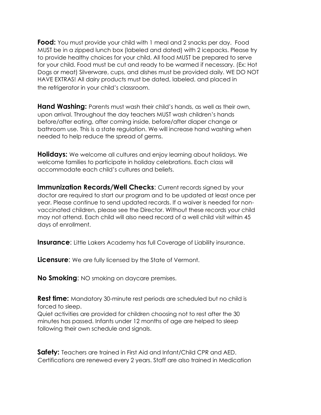**Food:** You must provide your child with 1 meal and 2 snacks per day. Food MUST be in a zipped lunch box (labeled and dated) with 2 icepacks. Please try to provide healthy choices for your child. All food MUST be prepared to serve for your child. Food must be cut and ready to be warmed if necessary. (Ex: Hot Dogs or meat) Silverware, cups, and dishes must be provided daily. WE DO NOT HAVE EXTRAS! All dairy products must be dated, labeled, and placed in the refrigerator in your child's classroom.

**Hand Washing:** Parents must wash their child's hands, as well as their own, upon arrival. Throughout the day teachers MUST wash children's hands before/after eating, after coming inside, before/after diaper change or bathroom use. This is a state regulation. We will increase hand washing when needed to help reduce the spread of germs.

**Holidays:** We welcome all cultures and enjoy learning about holidays. We welcome families to participate in holiday celebrations. Each class will accommodate each child's cultures and beliefs.

**Immunization Records/Well Checks: Current records signed by your** doctor are required to start our program and to be updated at least once per year. Please continue to send updated records. If a waiver is needed for nonvaccinated children, please see the Director. Without these records your child may not attend. Each child will also need record of a well child visit within 45 days of enrollment.

**Insurance**: Little Lakers Academy has full Coverage of Liability insurance.

**Licensure:** We are fully licensed by the State of Vermont.

**No Smoking**: NO smoking on daycare premises.

**Rest time:** Mandatory 30-minute rest periods are scheduled but no child is forced to sleep.

Quiet activities are provided for children choosing not to rest after the 30 minutes has passed. Infants under 12 months of age are helped to sleep following their own schedule and signals.

**Safety:** Teachers are trained in First Aid and Infant/Child CPR and AED. Certifications are renewed every 2 years. Staff are also trained in Medication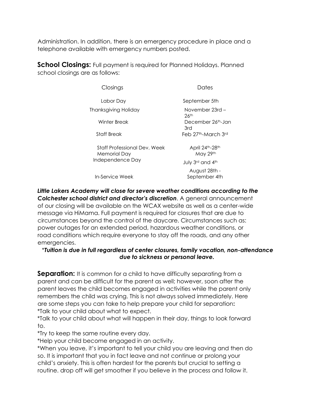Administration. In addition, there is an emergency procedure in place and a telephone available with emergency numbers posted.

**School Closings:** Full payment is required for Planned Holidays. Planned school closings are as follows:

| Closings                                     | Dates                                 |  |
|----------------------------------------------|---------------------------------------|--|
| Labor Day                                    | September 5th                         |  |
| Thanksgiving Holiday                         | November 23rd –<br>$26$ <sup>th</sup> |  |
| Winter Break                                 | December 26th-Jan<br>3rd              |  |
| Staff Break                                  | Feb 27th-March 3rd                    |  |
| Staff Professional Dev. Week<br>Memorial Day | April 24th-28th<br>May 29th           |  |
| Independence Day                             | July 3rd and 4th                      |  |
| In-Service Week                              | August 28th -<br>September 4th        |  |

*Little Lakers Academy will close for severe weather conditions according to the Colchester school district and director's discretion*. A general announcement of our closing will be available on the WCAX website as well as a center-wide message via HiMama. Full payment is required for closures that are due to circumstances beyond the control of the daycare. Circumstances such as: power outages for an extended period, hazardous weather conditions, or road conditions which require everyone to stay off the roads, and any other emergencies.

#### \**Tuition is due in full regardless of center closures, family vacation, non-attendance due to sickness or personal leave.*

**Separation:** It is common for a child to have difficulty separating from a parent and can be difficult for the parent as well; however, soon after the parent leaves the child becomes engaged in activities while the parent only remembers the child was crying. This is not always solved immediately. Here are some steps you can take to help prepare your child for separation**:**  \*Talk to your child about what to expect.

\*Talk to your child about what will happen in their day, things to look forward to.

\*Try to keep the same routine every day.

\*Help your child become engaged in an activity.

\*When you leave, it's important to tell your child you are leaving and then do so. It is important that you in fact leave and not continue or prolong your child's anxiety. This is often hardest for the parents but crucial to setting a routine. drop off will get smoother if you believe in the process and follow it.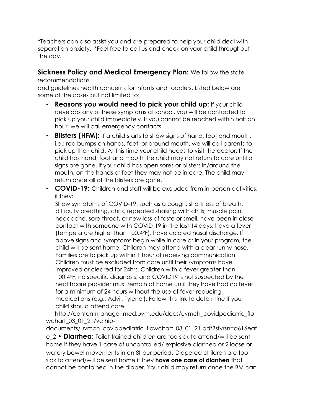\*Teachers can also assist you and are prepared to help your child deal with separation anxiety. \*Feel free to call us and check on your child throughout the day.

#### **Sickness Policy and Medical Emergency Plan:** We follow the state

#### recommendations

and guidelines health concerns for infants and toddlers. Listed below are some of the cases but not limited to:

- **Reasons you would need to pick your child up:** If your child develops any of these symptoms at school, you will be contacted to pick up your child immediately. If you cannot be reached within half an hour, we will call emergency contacts.
- **Blisters (HFM):** If a child starts to show signs of hand, foot and mouth, i.e.: red bumps on hands, feet, or around mouth, we will call parents to pick up their child. At this time your child needs to visit the doctor. If the child has hand, foot and mouth the child may not return to care until all signs are gone. If your child has open sores or blisters in/around the mouth, on the hands or feet they may not be in care. The child may return once all of the blisters are gone.
- **COVID-19:** Children and staff will be excluded from in-person activities, if they:

Show symptoms of COVID-19, such as a cough, shortness of breath, difficulty breathing, chills, repeated shaking with chills, muscle pain, headache, sore throat, or new loss of taste or smell, have been in close contact with someone with COVID-19 in the last 14 days, have a fever (temperature higher than 100.4°F), have colored nasal discharge. If above signs and symptoms begin while in care or in your program, the child will be sent home. Children may attend with a clear runny nose. Families are to pick up within 1 hour of receiving communication. Children must be excluded from care until their symptoms have improved or cleared for 24hrs. Children with a fever greater than 100.4°F, no specific diagnosis, and COVID19 is not suspected by the healthcare provider must remain at home until they have had no fever for a minimum of 24 hours without the use of fever-reducing medications (e.g., Advil, Tylenol). Follow this link to determine if your child should attend care.

http://contentmanager.med.uvm.edu/docs/uvmch\_covidpediatric\_flo wchart\_03\_01\_21/vc hip-

documents/uvmch\_covidpediatric\_flowchart\_03\_01\_21.pdf?sfvrsn=a616eaf e\_2 • **Diarrhea**: Toilet trained children are too sick to attend/will be sent home if they have 1 case of uncontrolled/ explosive diarrhea or 2 loose or watery bowel movements in an 8hour period. Diapered children are too sick to attend/will be sent home if they **have one case of diarrhea** that cannot be contained in the diaper. Your child may return once the BM can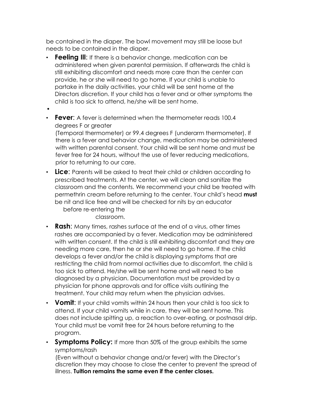be contained in the diaper. The bowl movement may still be loose but needs to be contained in the diaper.

- **Feeling III:** If there is a behavior change, medication can be administered when given parental permission. If afterwards the child is still exhibiting discomfort and needs more care than the center can provide, he or she will need to go home. If your child is unable to partake in the daily activities, your child will be sent home at the Directors discretion. If your child has a fever and or other symptoms the child is too sick to attend, he/she will be sent home.
- • **Fever**: A fever is determined when the thermometer reads 100.4 degrees F or greater

(Temporal thermometer) or 99.4 degrees F (underarm thermometer). If there is a fever and behavior change, medication may be administered with written parental consent. Your child will be sent home and must be fever free for 24 hours, without the use of fever reducing medications, prior to returning to our care.

• **Lice**: Parents will be asked to treat their child or children according to prescribed treatments. At the center, we will clean and sanitize the classroom and the contents. We recommend your child be treated with permethrin cream before returning to the center. Your child's head **must** be nit and lice free and will be checked for nits by an educator before re-entering the

classroom.

- **Rash**: Many times, rashes surface at the end of a virus, other times rashes are accompanied by a fever. Medication may be administered with written consent. If the child is still exhibiting discomfort and they are needing more care, then he or she will need to go home. If the child develops a fever and/or the child is displaying symptoms that are restricting the child from normal activities due to discomfort, the child is too sick to attend. He/she will be sent home and will need to be diagnosed by a physician. Documentation must be provided by a physician for phone approvals and for office visits outlining the treatment. Your child may return when the physician advises.
- **Vomit**: If your child vomits within 24 hours then your child is too sick to attend. If your child vomits while in care, they will be sent home. This does not include spitting up, a reaction to over-eating, or postnasal drip. Your child must be vomit free for 24 hours before returning to the program.
- **Symptoms Policy:** If more than 50% of the group exhibits the same symptoms/rash

(Even without a behavior change and/or fever) with the Director's discretion they may choose to close the center to prevent the spread of illness. **Tuition remains the same even if the center closes.**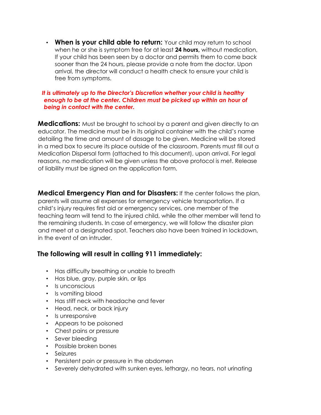• **When is your child able to return:** Your child may return to school when he or she is symptom free for at least **24 hours,** without medication, If your child has been seen by a doctor and permits them to come back sooner than the 24 hours, please provide a note from the doctor. Upon arrival, the director will conduct a health check to ensure your child is free from symptoms.

#### *It is ultimately up to the Director's Discretion whether your child is healthy enough to be at the center. Children must be picked up within an hour of being in contact with the center.*

**Medications:** Must be brought to school by a parent and given directly to an educator. The medicine must be in its original container with the child's name detailing the time and amount of dosage to be given. Medicine will be stored in a med box to secure its place outside of the classroom. Parents must fill out a Medication Dispersal form (attached to this document), upon arrival. For legal reasons, no medication will be given unless the above protocol is met. Release of liability must be signed on the application form.

**Medical Emergency Plan and for Disasters:** If the center follows the plan, parents will assume all expenses for emergency vehicle transportation. If a child's injury requires first aid or emergency services, one member of the teaching team will tend to the injured child, while the other member will tend to the remaining students. In case of emergency, we will follow the disaster plan and meet at a designated spot. Teachers also have been trained in lockdown, in the event of an intruder.

#### **The following will result in calling 911 immediately:**

- Has difficulty breathing or unable to breath
- Has blue, gray, purple skin, or lips
- Is unconscious
- Is vomiting blood
- Has stiff neck with headache and fever
- Head, neck, or back injury
- Is unresponsive
- Appears to be poisoned
- Chest pains or pressure
- Sever bleeding
- Possible broken bones
- Seizures
- Persistent pain or pressure in the abdomen
- Severely dehydrated with sunken eyes, lethargy, no tears, not urinating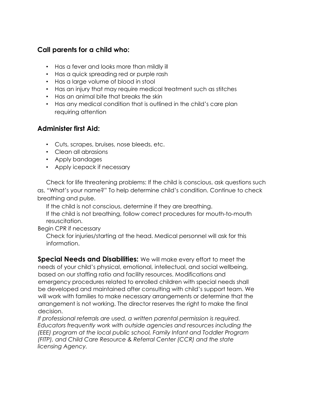#### **Call parents for a child who:**

- Has a fever and looks more than mildly ill
- Has a quick spreading red or purple rash
- Has a large volume of blood in stool
- Has an injury that may require medical treatment such as stitches
- Has an animal bite that breaks the skin
- Has any medical condition that is outlined in the child's care plan requiring attention

#### **Administer first Aid:**

- Cuts, scrapes, bruises, nose bleeds, etc.
- Clean all abrasions
- Apply bandages
- Apply icepack if necessary

Check for life threatening problems: If the child is conscious, ask questions such as, "What's your name?" To help determine child's condition. Continue to check breathing and pulse.

If the child is not conscious, determine if they are breathing. If the child is not breathing, follow correct procedures for mouth-to-mouth resuscitation.

Begin CPR if necessary

Check for injuries/starting at the head. Medical personnel will ask for this information.

**Special Needs and Disabilities:** We will make every effort to meet the needs of your child's physical, emotional, intellectual, and social wellbeing, based on our staffing ratio and facility resources. Modifications and emergency procedures related to enrolled children with special needs shall be developed and maintained after consulting with child's support team. We will work with families to make necessary arrangements or determine that the arrangement is not working. The director reserves the right to make the final decision.

*If professional referrals are used, a written parental permission is required. Educators frequently work with outside agencies and resources including the (EEE) program at the local public school, Family Infant and Toddler Program (FITP), and Child Care Resource & Referral Center (CCR) and the state licensing Agency.*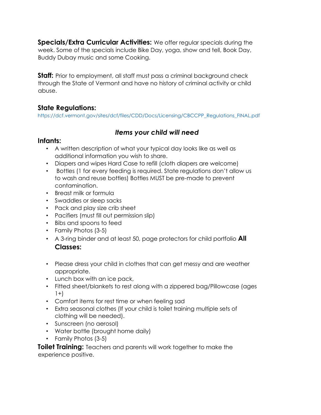**Specials/Extra Curricular Activities:** We offer regular specials during the week. Some of the specials include Bike Day, yoga, show and tell, Book Day, Buddy Dubay music and some Cooking.

**Staff:** Prior to employment, all staff must pass a criminal background check through the State of Vermont and have no history of criminal activity or child abuse.

## **State Regulations:**

https://dcf.vermont.gov/sites/dcf/files/CDD/Docs/Licensing/CBCCPP\_Regulations\_FINAL.pdf

## *Items your child will need*

#### **Infants:**

- A written description of what your typical day looks like as well as additional information you wish to share.
- Diapers and wipes Hard Case to refill (cloth diapers are welcome)
- Bottles (1 for every feeding is required. State regulations don't allow us to wash and reuse bottles) Bottles MUST be pre-made to prevent contamination.
- Breast milk or formula
- Swaddles or sleep sacks
- Pack and play size crib sheet
- Pacifiers (must fill out permission slip)
- Bibs and spoons to feed
- Family Photos (3-5)
- A 3-ring binder and at least 50, page protectors for child portfolio **All Classes:**
- Please dress your child in clothes that can get messy and are weather appropriate.
- Lunch box with an ice pack,
- Fitted sheet/blankets to rest along with a zippered bag/Pillowcase (ages  $1+$ )
- Comfort items for rest time or when feeling sad
- Extra seasonal clothes (If your child is toilet training multiple sets of clothing will be needed).
- Sunscreen (no aerosol)
- Water bottle (brought home daily)
- Family Photos (3-5)

**Toilet Training:** Teachers and parents will work together to make the experience positive.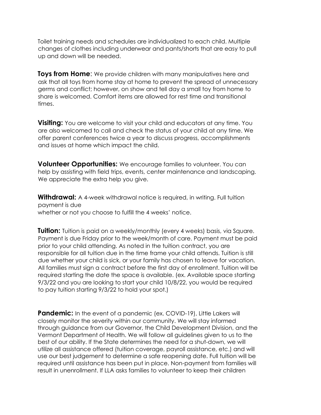Toilet training needs and schedules are individualized to each child. Multiple changes of clothes including underwear and pants/shorts that are easy to pull up and down will be needed.

**Toys from Home**: We provide children with many manipulatives here and ask that all toys from home stay at home to prevent the spread of unnecessary germs and conflict; however, on show and tell day a small toy from home to share is welcomed. Comfort items are allowed for rest time and transitional times.

**Visiting:** You are welcome to visit your child and educators at any time. You are also welcomed to call and check the status of your child at any time. We offer parent conferences twice a year to discuss progress, accomplishments and issues at home which impact the child.

**Volunteer Opportunities:** We encourage families to volunteer. You can help by assisting with field trips, events, center maintenance and landscaping. We appreciate the extra help you give.

**Withdrawal:** A 4-week withdrawal notice is required, in writing. Full tuition payment is due whether or not you choose to fulfill the 4 weeks' notice.

**Tuition:** Tuition is paid on a weekly/monthly (every 4 weeks) basis, via Square. Payment is due Friday prior to the week/month of care. Payment must be paid prior to your child attending. As noted in the tuition contract, you are responsible for all tuition due in the time frame your child attends. Tuition is still due whether your child is sick, or your family has chosen to leave for vacation. All families must sign a contract before the first day of enrollment. Tuition will be required starting the date the space is available. (ex. Available space starting 9/3/22 and you are looking to start your child 10/8/22, you would be required to pay tuition starting 9/3/22 to hold your spot.)

**Pandemic:** In the event of a pandemic (ex. COVID-19), Little Lakers will closely monitor the severity within our community. We will stay informed through guidance from our Governor, the Child Development Division, and the Vermont Department of Health. We will follow all guidelines given to us to the best of our ability. If the State determines the need for a shut-down, we will utilize all assistance offered (tuition coverage, payroll assistance, etc.) and will use our best judgement to determine a safe reopening date. Full tuition will be required until assistance has been put in place. Non-payment from families will result in unenrollment. If LLA asks families to volunteer to keep their children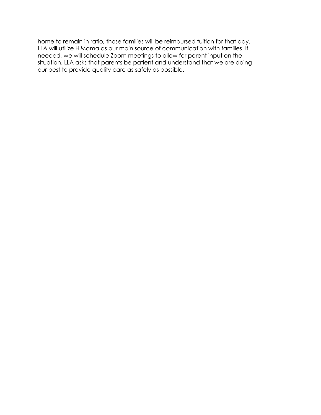home to remain in ratio, those families will be reimbursed tuition for that day. LLA will utilize HiMama as our main source of communication with families. If needed, we will schedule Zoom meetings to allow for parent input on the situation. LLA asks that parents be patient and understand that we are doing our best to provide quality care as safely as possible.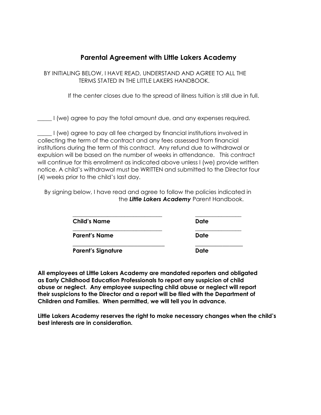#### **Parental Agreement with Little Lakers Academy**

BY INITIALING BELOW, I HAVE READ, UNDERSTAND AND AGREE TO ALL THE TERMS STATED IN THE LITTLE LAKERS HANDBOOK.

If the center closes due to the spread of illness tuition is still due in full.

I (we) agree to pay the total amount due, and any expenses required.

\_\_\_\_\_ I (we) agree to pay all fee charged by financial institutions involved in collecting the term of the contract and any fees assessed from financial institutions during the term of this contract. Any refund due to withdrawal or expulsion will be based on the number of weeks in attendance. This contract will continue for this enrollment as indicated above unless I (we) provide written notice. A child's withdrawal must be WRITTEN and submitted to the Director four (4) weeks prior to the child's last day.

By signing below, I have read and agree to follow the policies indicated in the *Little Lakers Academy* Parent Handbook.

| <b>Child's Name</b>       | Date |
|---------------------------|------|
| <b>Parent's Name</b>      | Date |
| <b>Parent's Signature</b> | Date |

**All employees at Little Lakers Academy are mandated reporters and obligated as Early Childhood Education Professionals to report any suspicion of child abuse or neglect. Any employee suspecting child abuse or neglect will report their suspicions to the Director and a report will be filed with the Department of Children and Families. When permitted, we will tell you in advance.** 

**Little Lakers Academy reserves the right to make necessary changes when the child's best interests are in consideration.**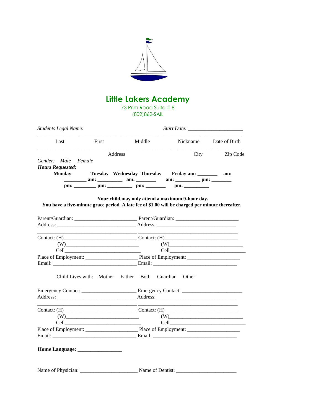

## **Little Lakers Academy**

73 Prim Road Suite # 8 (802)862-SAIL

| <b>Students Legal Name:</b> |                                                                                                                                                                                                                                |                                                                                                                                                                                                                                |                                           |               |  |
|-----------------------------|--------------------------------------------------------------------------------------------------------------------------------------------------------------------------------------------------------------------------------|--------------------------------------------------------------------------------------------------------------------------------------------------------------------------------------------------------------------------------|-------------------------------------------|---------------|--|
| Last                        | First                                                                                                                                                                                                                          | Middle                                                                                                                                                                                                                         | Nickname                                  | Date of Birth |  |
| Address                     |                                                                                                                                                                                                                                | City                                                                                                                                                                                                                           | Zip Code                                  |               |  |
| Gender: Male                | Female                                                                                                                                                                                                                         |                                                                                                                                                                                                                                |                                           |               |  |
| <b>Hours Requested:</b>     |                                                                                                                                                                                                                                |                                                                                                                                                                                                                                |                                           |               |  |
| <b>Monday</b>               |                                                                                                                                                                                                                                | Tuesday Wednesday Thursday Friday am:                                                                                                                                                                                          |                                           | am:           |  |
|                             |                                                                                                                                                                                                                                | am: ________ am: ________ am: _______ am: ________ pm: ________                                                                                                                                                                |                                           |               |  |
|                             |                                                                                                                                                                                                                                |                                                                                                                                                                                                                                | $pm:$ $\qquad \qquad$                     |               |  |
|                             |                                                                                                                                                                                                                                |                                                                                                                                                                                                                                |                                           |               |  |
|                             | Contact: (H) Contact: (H) Contact: (H) Contact: (H) Contact: (H) Contact: (H) Contact: (H) Contact: (H) Contact: (H) Contact: (H) Contact: (H) Contact: (H) Contact: (H) Contact: (H) Contact: (H) Contact: (H) Contact: (H) C |                                                                                                                                                                                                                                |                                           |               |  |
|                             |                                                                                                                                                                                                                                |                                                                                                                                                                                                                                | $\textbf{(W)} \label{eq:W}$               |               |  |
|                             |                                                                                                                                                                                                                                |                                                                                                                                                                                                                                |                                           |               |  |
|                             |                                                                                                                                                                                                                                |                                                                                                                                                                                                                                |                                           |               |  |
|                             |                                                                                                                                                                                                                                |                                                                                                                                                                                                                                |                                           |               |  |
|                             |                                                                                                                                                                                                                                | Child Lives with: Mother Father Both                                                                                                                                                                                           | Guardian<br>Other                         |               |  |
|                             |                                                                                                                                                                                                                                |                                                                                                                                                                                                                                |                                           |               |  |
|                             |                                                                                                                                                                                                                                | Address: Address: Address: Address: Address: Address: Address: Address: Address: Address: Address: Address: Address: Address: Address: Address: Address: Address: Address: Address: Address: Address: Address: Address: Addres |                                           |               |  |
|                             | the contract of the contract of the contract of the contract of the contract of                                                                                                                                                | Contact: (H) Contact: (H)                                                                                                                                                                                                      |                                           |               |  |
|                             |                                                                                                                                                                                                                                |                                                                                                                                                                                                                                | $(W) \qquad \qquad (W) \qquad \qquad (W)$ |               |  |
| Cell                        |                                                                                                                                                                                                                                |                                                                                                                                                                                                                                |                                           |               |  |
|                             |                                                                                                                                                                                                                                |                                                                                                                                                                                                                                |                                           |               |  |
|                             |                                                                                                                                                                                                                                |                                                                                                                                                                                                                                |                                           |               |  |
|                             |                                                                                                                                                                                                                                |                                                                                                                                                                                                                                |                                           |               |  |
|                             |                                                                                                                                                                                                                                |                                                                                                                                                                                                                                |                                           |               |  |
|                             |                                                                                                                                                                                                                                |                                                                                                                                                                                                                                |                                           |               |  |
|                             |                                                                                                                                                                                                                                |                                                                                                                                                                                                                                |                                           |               |  |

Name of Physician: \_\_\_\_\_\_\_\_\_\_\_\_\_\_\_\_\_\_\_\_\_\_ Name of Dentist: \_\_\_\_\_\_\_\_\_\_\_\_\_\_\_\_\_\_\_\_\_\_\_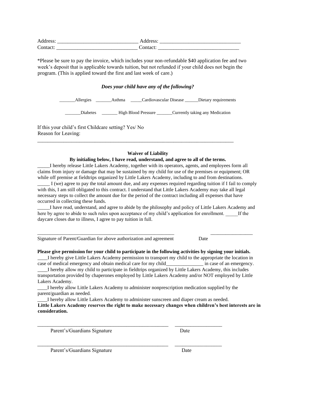| л                                    | ______ |
|--------------------------------------|--------|
| $\overline{\phantom{0}}$<br>________ |        |

\*Please be sure to pay the invoice, which includes your non-refundable \$40 application fee and two week's deposit that is applicable towards tuition, but not refunded if your child does not begin the program. (This is applied toward the first and last week of care.)

#### *Does your child have any of the following?*

| Allergies       | Asthma |                            | Cardiovascular Disease | Dietary requirements            |
|-----------------|--------|----------------------------|------------------------|---------------------------------|
| <b>Diabetes</b> |        | <b>High Blood Pressure</b> |                        | Currently taking any Medication |

If this your child's first Childcare setting? Yes/ No Reason for Leaving:

#### **Waiver of Liability**

\_\_\_\_\_\_\_\_\_\_\_\_\_\_\_\_\_\_\_\_\_\_\_\_\_\_\_\_\_\_\_\_\_\_\_\_\_\_\_\_\_\_\_\_\_\_\_\_\_\_\_\_\_\_\_\_\_\_\_\_\_\_\_\_\_\_\_\_\_\_\_\_\_\_\_

#### **By initialing below, I have read, understand, and agree to all of the terms.**

\_\_\_\_\_I hereby release Little Lakers Academy, together with its operators, agents, and employees form all claims from injury or damage that may be sustained by my child for use of the premises or equipment; OR while off premise at fieldtrips organized by Little Lakers Academy, including to and from destinations.

\_\_\_\_\_ I (we) agree to pay the total amount due, and any expenses required regarding tuition if I fail to comply with this, I am still obligated to this contract. I understand that Little Lakers Academy may take all legal necessary steps to collect the amount due for the period of the contract including all expenses that have occurred in collecting these funds.

\_\_\_\_\_I have read, understand, and agree to abide by the philosophy and policy of Little Lakers Academy and here by agree to abide to such rules upon acceptance of my child's application for enrollment. If the daycare closes due to illness, I agree to pay tuition in full.

\_\_\_\_\_\_\_\_\_\_\_\_\_\_\_\_\_\_\_\_\_\_\_\_\_\_\_\_\_\_\_\_\_\_\_\_\_\_\_\_\_\_\_\_\_\_\_\_\_\_\_\_\_\_\_ \_\_\_\_\_\_\_\_\_\_\_\_\_\_\_\_\_

Signature of Parent/Guardian for above authorization and agreement Date

**Please give permission for your child to participate in the following activities by signing your initials.** 

\_\_\_\_I hereby give Little Lakers Academy permission to transport my child to the appropriate the location in case of medical emergency and obtain medical care for my child\_\_\_\_\_\_\_\_\_\_\_\_\_\_\_ in case of an emergency. \_\_\_\_I hereby allow my child to participate in fieldtrips organized by Little Lakers Academy, this includes

transportation provided by chaperones employed by Little Lakers Academy and/or NOT employed by Little Lakers Academy.

\_\_\_\_I hereby allow Little Lakers Academy to administer nonprescription medication supplied by the parent/guardian as needed.

\_\_\_\_\_\_\_\_\_\_\_\_\_\_\_\_\_\_\_\_\_\_\_\_\_\_\_\_\_\_\_\_\_\_\_\_\_\_\_\_\_\_\_\_\_\_\_\_\_\_ \_\_\_\_\_\_\_\_\_\_\_\_\_\_\_\_\_\_

\_\_\_\_I hereby allow Little Lakers Academy to administer sunscreen and diaper cream as needed. **Little Lakers Academy reserves the right to make necessary changes when children's best interests are in consideration.** 

Parent's/Guardians Signature Date

Parent's/Guardians Signature Date

\_\_\_\_\_\_\_\_\_\_\_\_\_\_\_\_\_\_\_\_\_\_\_\_\_\_\_\_\_\_\_\_\_\_\_\_\_\_\_\_\_\_\_\_\_\_\_\_\_\_ \_\_\_\_\_\_\_\_\_\_\_\_\_\_\_\_\_\_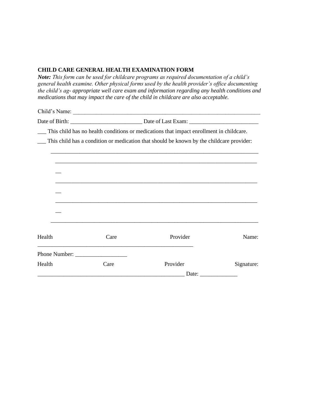#### **CHILD CARE GENERAL HEALTH EXAMINATION FORM**

*Note: This form can be used for childcare programs as required documentation of a child's general health examine. Other physical forms used by the health provider's office documenting the child's ag- appropriate well care exam and information regarding any health conditions and medications that may impact the care of the child in childcare are also acceptable.* 

Child's Name: \_\_\_\_\_\_\_\_\_\_\_\_\_\_\_\_\_\_\_\_\_\_\_\_\_\_\_\_\_\_\_\_\_\_\_\_\_\_\_\_\_\_\_\_\_\_\_\_\_\_\_\_\_\_\_\_\_\_\_\_\_\_\_\_\_

Date of Birth: \_\_\_\_\_\_\_\_\_\_\_\_\_\_\_\_\_\_\_\_\_\_\_\_\_ Date of Last Exam: \_\_\_\_\_\_\_\_\_\_\_\_\_\_\_\_\_\_\_\_\_\_\_\_

\_\_\_ This child has no health conditions or medications that impact enrollment in childcare.

\_\_\_ This child has a condition or medication that should be known by the childcare provider:

\_\_\_\_\_\_\_\_\_\_\_\_\_\_\_\_\_\_\_\_\_\_\_\_\_\_\_\_\_\_\_\_\_\_\_\_\_\_\_\_\_\_\_\_\_\_\_\_\_\_\_\_\_\_\_\_\_\_\_\_\_\_\_\_\_\_\_\_\_\_\_\_

| Health | Care | Provider | Name:      |
|--------|------|----------|------------|
|        |      |          |            |
|        |      |          |            |
| Health | Care | Provider | Signature: |
|        |      | Date:    |            |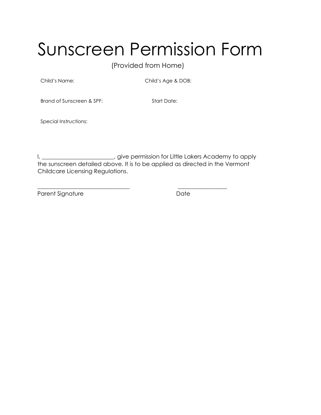## Sunscreen Permission Form

(Provided from Home)

Child's Name: Child's Age & DOB:

Brand of Sunscreen & SPF:

Start Date:

Special Instructions:

I, \_\_\_\_\_\_\_\_\_\_\_\_\_\_\_\_\_\_\_\_\_\_\_\_, give permission for Little Lakers Academy to apply the sunscreen detailed above. It is to be applied as directed in the Vermont Childcare Licensing Regulations.

\_\_\_\_\_\_\_\_\_\_\_\_\_\_\_\_\_\_\_\_\_\_\_\_\_\_\_\_\_\_\_\_ \_\_\_\_\_\_\_\_\_\_\_\_\_\_\_\_\_

Parent Signature Date Date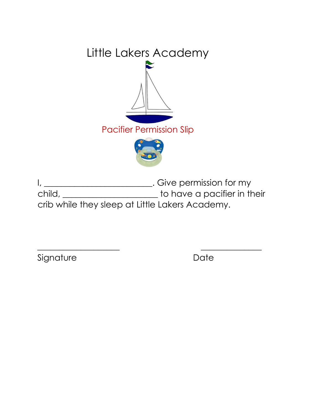

I, \_\_\_\_\_\_\_\_\_\_\_\_\_\_\_\_\_\_\_\_\_\_\_\_\_. Give permission for my child, \_\_\_\_\_\_\_\_\_\_\_\_\_\_\_\_\_\_\_\_\_\_ to have a pacifier in their crib while they sleep at Little Lakers Academy.

 $\overline{\phantom{a}}$  , and the contract of the contract of the contract of the contract of the contract of the contract of the contract of the contract of the contract of the contract of the contract of the contract of the contrac

Signature Date